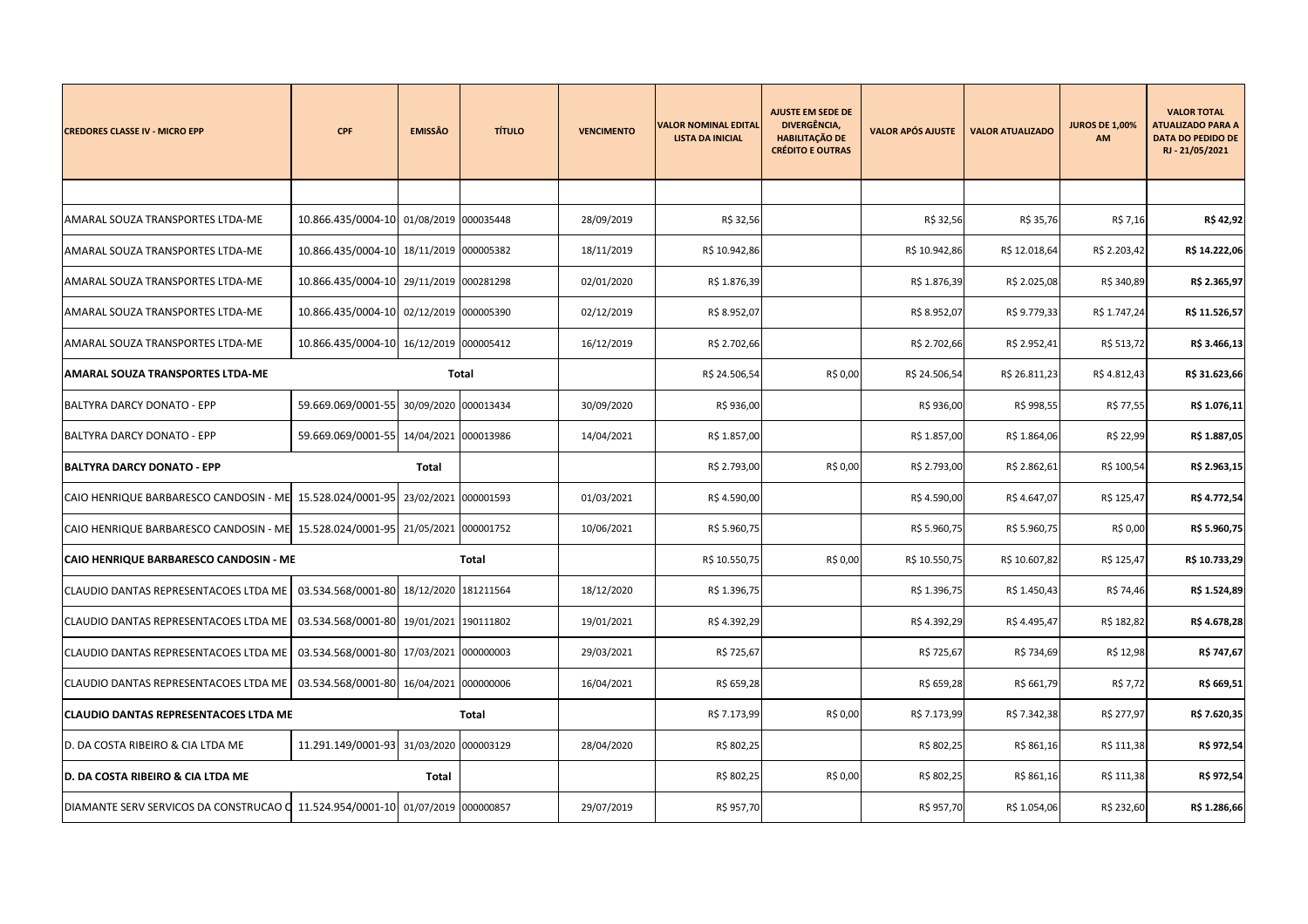| <b>CREDORES CLASSE IV - MICRO EPP</b>                                          | <b>CPF</b>                              | <b>EMISSÂO</b>       | <b>TÍTULO</b> | <b>VENCIMENTO</b> | <b>VALOR NOMINAL EDITAL</b><br><b>LISTA DA INICIAL</b> | <b>AJUSTE EM SEDE DE</b><br>DIVERGÊNCIA,<br><b>HABILITAÇÃO DE</b><br><b>CRÉDITO E OUTRAS</b> | <b>VALOR APÓS AJUSTE</b> | <b>VALOR ATUALIZADO</b> | <b>JUROS DE 1,00%</b><br>AM | <b>VALOR TOTAL</b><br><b>ATUALIZADO PARA A</b><br><b>DATA DO PEDIDO DE</b><br>RJ - 21/05/2021 |
|--------------------------------------------------------------------------------|-----------------------------------------|----------------------|---------------|-------------------|--------------------------------------------------------|----------------------------------------------------------------------------------------------|--------------------------|-------------------------|-----------------------------|-----------------------------------------------------------------------------------------------|
|                                                                                |                                         |                      |               |                   |                                                        |                                                                                              |                          |                         |                             |                                                                                               |
| AMARAL SOUZA TRANSPORTES LTDA-ME                                               | 10.866.435/0004-10                      | 01/08/2019 000035448 |               | 28/09/2019        | R\$ 32,56                                              |                                                                                              | R\$ 32,56                | R\$ 35,76               | R\$ 7,16                    | R\$ 42,92                                                                                     |
| AMARAL SOUZA TRANSPORTES LTDA-ME                                               | 10.866.435/0004-10                      | 18/11/2019 000005382 |               | 18/11/2019        | R\$ 10.942,86                                          |                                                                                              | R\$ 10.942,86            | R\$ 12.018,64           | R\$ 2.203,42                | R\$ 14.222,06                                                                                 |
| AMARAL SOUZA TRANSPORTES LTDA-ME                                               | 10.866.435/0004-10                      | 29/11/2019 000281298 |               | 02/01/2020        | R\$ 1.876,39                                           |                                                                                              | R\$ 1.876,39             | R\$ 2.025,08            | R\$ 340,89                  | R\$ 2.365,97                                                                                  |
| AMARAL SOUZA TRANSPORTES LTDA-ME                                               | 10.866.435/0004-10 02/12/2019           |                      | 000005390     | 02/12/2019        | R\$ 8.952,07                                           |                                                                                              | R\$ 8.952,07             | R\$9.779,33             | R\$ 1.747,24                | R\$ 11.526,57                                                                                 |
| AMARAL SOUZA TRANSPORTES LTDA-ME                                               | 10.866.435/0004-10                      | 16/12/2019 000005412 |               | 16/12/2019        | R\$ 2.702,66                                           |                                                                                              | R\$ 2.702,66             | R\$ 2.952,41            | R\$ 513,72                  | R\$ 3.466,13                                                                                  |
| <b>AMARAL SOUZA TRANSPORTES LTDA-ME</b>                                        |                                         |                      | Total         |                   | R\$ 24.506,54                                          | R\$ 0,00                                                                                     | R\$ 24.506,54            | R\$ 26.811,23           | R\$4.812,43                 | R\$ 31.623,66                                                                                 |
| BALTYRA DARCY DONATO - EPP                                                     | 59.669.069/0001-55                      | 30/09/2020 000013434 |               | 30/09/2020        | R\$ 936,00                                             |                                                                                              | R\$ 936,00               | R\$ 998,55              | R\$ 77,55                   | R\$ 1.076,11                                                                                  |
| <b>BALTYRA DARCY DONATO - EPP</b>                                              | 59.669.069/0001-55                      | 14/04/2021           | 000013986     | 14/04/2021        | R\$ 1.857,00                                           |                                                                                              | R\$ 1.857,00             | R\$ 1.864,06            | R\$ 22,99                   | R\$ 1.887,05                                                                                  |
| <b>BALTYRA DARCY DONATO - EPP</b><br><b>Total</b>                              |                                         |                      |               |                   | R\$ 2.793,00                                           | R\$ 0,00                                                                                     | R\$ 2.793,00             | R\$ 2.862,61            | R\$ 100,54                  | R\$ 2.963,15                                                                                  |
| CAIO HENRIQUE BARBARESCO CANDOSIN - ME                                         | 15.528.024/0001-95                      | 23/02/2021 000001593 |               | 01/03/2021        | R\$4.590,00                                            |                                                                                              | R\$4.590,00              | R\$4.647,07             | R\$ 125,47                  | R\$4.772,54                                                                                   |
| CAIO HENRIQUE BARBARESCO CANDOSIN - ME 15.528.024/0001-95 21/05/2021 000001752 |                                         |                      |               | 10/06/2021        | R\$ 5.960,75                                           |                                                                                              | R\$ 5.960,75             | R\$ 5.960,75            | R\$ 0,00                    | R\$ 5.960,75                                                                                  |
| CAIO HENRIQUE BARBARESCO CANDOSIN - ME                                         |                                         |                      | <b>Total</b>  |                   | R\$ 10.550,75                                          | R\$ 0,00                                                                                     | R\$ 10.550,75            | R\$ 10.607,82           | R\$ 125,47                  | R\$ 10.733,29                                                                                 |
| CLAUDIO DANTAS REPRESENTACOES LTDA ME                                          | 03.534.568/0001-80                      | 18/12/2020 181211564 |               | 18/12/2020        | R\$ 1.396,75                                           |                                                                                              | R\$ 1.396,75             | R\$ 1.450,43            | R\$ 74,46                   | R\$ 1.524,89                                                                                  |
| CLAUDIO DANTAS REPRESENTACOES LTDA ME                                          | 03.534.568/0001-80                      | 19/01/2021 190111802 |               | 19/01/2021        | R\$4.392,29                                            |                                                                                              | R\$ 4.392,29             | R\$4.495,47             | R\$ 182,82                  | R\$4.678,28                                                                                   |
| CLAUDIO DANTAS REPRESENTACOES LTDA ME                                          | 03.534.568/0001-80 17/03/2021 000000003 |                      |               | 29/03/2021        | R\$ 725,67                                             |                                                                                              | R\$ 725,67               | R\$ 734,69              | R\$ 12,98                   | R\$ 747,67                                                                                    |
| CLAUDIO DANTAS REPRESENTACOES LTDA ME                                          | 03.534.568/0001-80 16/04/2021 000000006 |                      |               | 16/04/2021        | R\$ 659,28                                             |                                                                                              | R\$ 659,28               | R\$ 661,79              | R\$ 7,72                    | R\$ 669,51                                                                                    |
| <b>CLAUDIO DANTAS REPRESENTACOES LTDA ME</b><br>Total                          |                                         |                      |               |                   | R\$ 7.173,99                                           | R\$ 0,00                                                                                     | R\$ 7.173,99             | R\$ 7.342,38            | R\$ 277,97                  | R\$ 7.620,35                                                                                  |
| D. DA COSTA RIBEIRO & CIA LTDA ME                                              | 11.291.149/0001-93 31/03/2020 000003129 |                      |               | 28/04/2020        | R\$ 802,25                                             |                                                                                              | R\$ 802,25               | R\$ 861,16              | R\$ 111,38                  | R\$ 972,54                                                                                    |
| D. DA COSTA RIBEIRO & CIA LTDA ME                                              | Total                                   |                      |               |                   |                                                        | R\$ 802,25<br>R\$ 0,00                                                                       | R\$ 802,25               | R\$ 861,16              | R\$ 111,38                  | R\$ 972,54                                                                                    |
| DIAMANTE SERV SERVICOS DA CONSTRUCAO Q 11.524.954/0001-10                      |                                         | 01/07/2019 000000857 |               | 29/07/2019        | R\$ 957,70                                             |                                                                                              | R\$ 957,70               | R\$ 1.054,06            | R\$ 232,60                  | R\$ 1.286,66                                                                                  |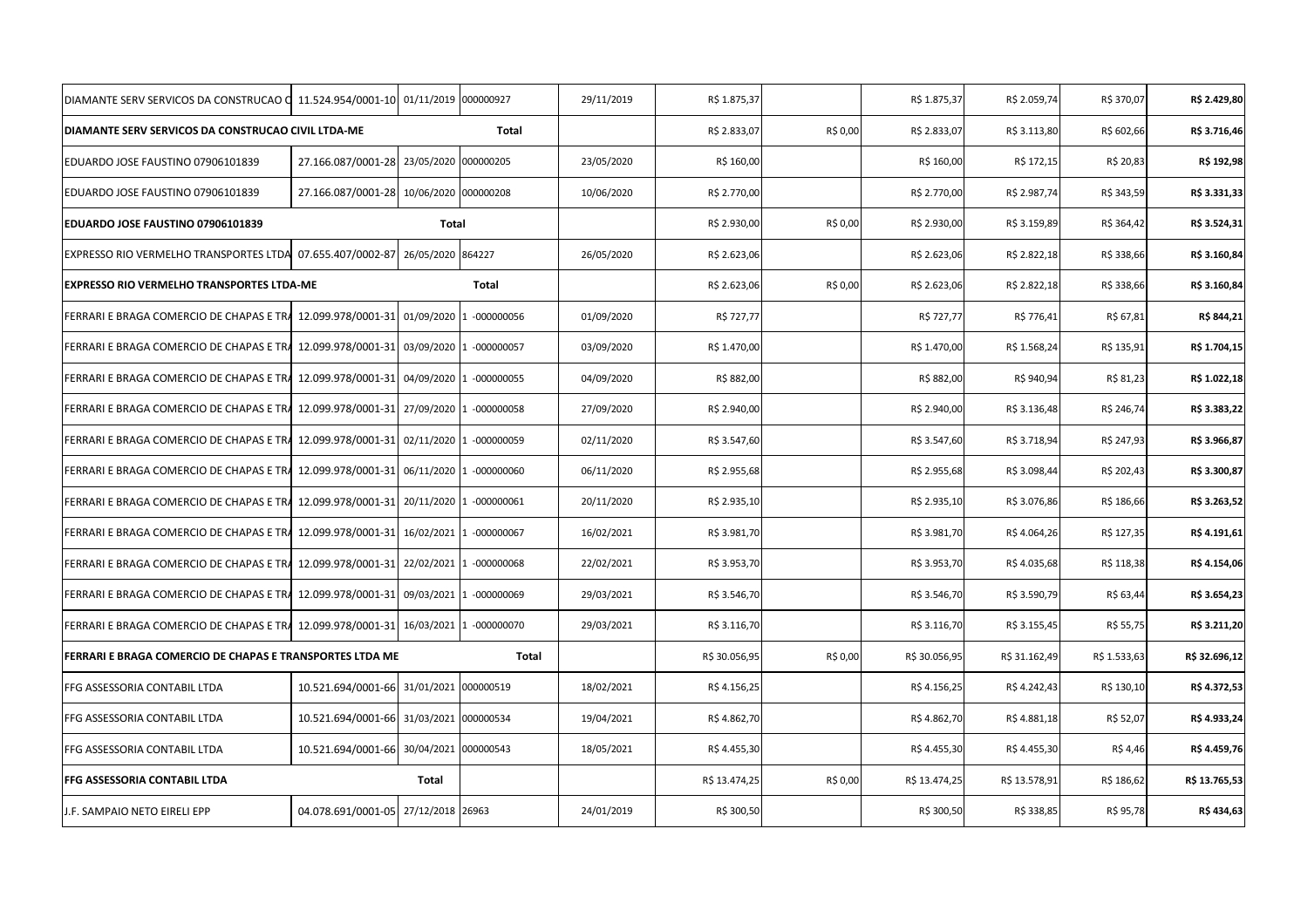| DIAMANTE SERV SERVICOS DA CONSTRUCAO O                   | 11.524.954/0001-10 01/11/2019              |                   | 000000927               | 29/11/2019 | R\$ 1.875,37  |               | R\$ 1.875,37  | R\$ 2.059,74  | R\$ 370,07   | R\$ 2.429,80  |
|----------------------------------------------------------|--------------------------------------------|-------------------|-------------------------|------------|---------------|---------------|---------------|---------------|--------------|---------------|
| DIAMANTE SERV SERVICOS DA CONSTRUCAO CIVIL LTDA-ME       |                                            |                   | Total                   |            | R\$ 2.833,07  | R\$ 0,00      | R\$ 2.833,07  | R\$ 3.113,80  | R\$ 602,66   | R\$ 3.716,46  |
| EDUARDO JOSE FAUSTINO 07906101839                        | 27.166.087/0001-28 23/05/2020              |                   | 000000205               | 23/05/2020 | R\$ 160,00    |               | R\$ 160,00    | R\$ 172,15    | R\$ 20,83    | R\$ 192,98    |
| EDUARDO JOSE FAUSTINO 07906101839                        | 27.166.087/0001-28 10/06/2020 000000208    |                   |                         | 10/06/2020 | R\$ 2.770,00  |               | R\$ 2.770,00  | R\$ 2.987,74  | R\$ 343,59   | R\$ 3.331,33  |
| EDUARDO JOSE FAUSTINO 07906101839                        |                                            | Total             |                         |            | R\$ 2.930,00  | R\$ 0,00      | R\$ 2.930,00  | R\$ 3.159,89  | R\$ 364,42   | R\$ 3.524,31  |
| EXPRESSO RIO VERMELHO TRANSPORTES LTDA                   | 07.655.407/0002-87                         | 26/05/2020 864227 |                         | 26/05/2020 | R\$ 2.623,06  |               | R\$ 2.623,06  | R\$ 2.822,18  | R\$ 338,66   | R\$ 3.160,84  |
| <b>EXPRESSO RIO VERMELHO TRANSPORTES LTDA-ME</b>         |                                            |                   | Total                   |            | R\$ 2.623,06  | R\$ 0,00      | R\$ 2.623,06  | R\$ 2.822,18  | R\$ 338,66   | R\$ 3.160,84  |
| FERRARI E BRAGA COMERCIO DE CHAPAS E TRA                 | 12.099.978/0001-31 01/09/2020              |                   | $-000000056$            | 01/09/2020 | R\$ 727,77    |               | R\$ 727,77    | R\$ 776,41    | R\$ 67,81    | R\$ 844,21    |
| FERRARI E BRAGA COMERCIO DE CHAPAS E TRA                 | 12.099.978/0001-31                         |                   | 03/09/2020 1 -000000057 | 03/09/2020 | R\$ 1.470,00  |               | R\$ 1.470,00  | R\$ 1.568,24  | R\$ 135,91   | R\$ 1.704,15  |
| FERRARI E BRAGA COMERCIO DE CHAPAS E TRA                 | 12.099.978/0001-31 04/09/2020 1 -000000055 |                   |                         | 04/09/2020 | R\$ 882,00    |               | R\$ 882,00    | R\$ 940,94    | R\$ 81,23    | R\$ 1.022,18  |
| FERRARI E BRAGA COMERCIO DE CHAPAS E TRA                 | 12.099.978/0001-31 27/09/2020 1 -000000058 |                   |                         | 27/09/2020 | R\$ 2.940,00  |               | R\$ 2.940,00  | R\$ 3.136,48  | R\$ 246,74   | R\$ 3.383,22  |
| FERRARI E BRAGA COMERCIO DE CHAPAS E TRA                 | 12.099.978/0001-31 02/11/2020 1 -000000059 |                   |                         | 02/11/2020 | R\$ 3.547,60  |               | R\$ 3.547,60  | R\$ 3.718,94  | R\$ 247,93   | R\$ 3.966,87  |
| FERRARI E BRAGA COMERCIO DE CHAPAS E TRA                 | 12.099.978/0001-31 06/11/2020 1 -000000060 |                   |                         | 06/11/2020 | R\$ 2.955,68  |               | R\$ 2.955,68  | R\$ 3.098,44  | R\$ 202,43   | R\$ 3.300,87  |
| FERRARI E BRAGA COMERCIO DE CHAPAS E TRA                 | 12.099.978/0001-31 20/11/2020 1 -000000061 |                   |                         | 20/11/2020 | R\$ 2.935,10  |               | R\$ 2.935,10  | R\$3.076,86   | R\$ 186,66   | R\$ 3.263,52  |
| FERRARI E BRAGA COMERCIO DE CHAPAS E TRA                 | 12.099.978/0001-31 16/02/2021 1 -000000067 |                   |                         | 16/02/2021 | R\$ 3.981,70  |               | R\$ 3.981,70  | R\$4.064,26   | R\$ 127,35   | R\$ 4.191,61  |
| FERRARI E BRAGA COMERCIO DE CHAPAS E TRA                 | 12.099.978/0001-31 22/02/2021 1 -000000068 |                   |                         | 22/02/2021 | R\$ 3.953,70  |               | R\$ 3.953,70  | R\$4.035,68   | R\$ 118,38   | R\$ 4.154,06  |
| FERRARI E BRAGA COMERCIO DE CHAPAS E TRA                 | 12.099.978/0001-31 09/03/2021 1 -000000069 |                   |                         | 29/03/2021 | R\$ 3.546,70  |               | R\$ 3.546,70  | R\$ 3.590,79  | R\$ 63,44    | R\$ 3.654,23  |
| FERRARI E BRAGA COMERCIO DE CHAPAS E TRA                 | 12.099.978/0001-31 16/03/2021 1 -000000070 |                   |                         | 29/03/2021 | R\$ 3.116,70  |               | R\$ 3.116,70  | R\$ 3.155,45  | R\$ 55,75    | R\$ 3.211,20  |
| FERRARI E BRAGA COMERCIO DE CHAPAS E TRANSPORTES LTDA ME |                                            |                   | Total                   |            | R\$ 30.056,95 | R\$ 0,00      | R\$ 30.056,95 | R\$ 31.162,49 | R\$ 1.533,63 | R\$ 32.696,12 |
| FFG ASSESSORIA CONTABIL LTDA                             | 10.521.694/0001-66 31/01/2021              |                   | 000000519               | 18/02/2021 | R\$4.156,25   |               | R\$ 4.156,25  | R\$4.242,43   | R\$ 130,10   | R\$ 4.372,53  |
| FFG ASSESSORIA CONTABIL LTDA                             | 10.521.694/0001-66 31/03/2021 000000534    |                   |                         | 19/04/2021 | R\$4.862,70   |               | R\$4.862,70   | R\$4.881,18   | R\$ 52,07    | R\$4.933,24   |
| FFG ASSESSORIA CONTABIL LTDA                             | 10.521.694/0001-66 30/04/2021              |                   | 000000543               | 18/05/2021 | R\$4.455,30   |               | R\$4.455,30   | R\$4.455,30   | R\$ 4,46     | R\$ 4.459,76  |
| FFG ASSESSORIA CONTABIL LTDA                             |                                            |                   | R\$ 13.474,25           | R\$ 0,00   | R\$ 13.474,25 | R\$ 13.578,91 | R\$ 186,62    | R\$ 13.765,53 |              |               |
| J.F. SAMPAIO NETO EIRELI EPP                             | 04.078.691/0001-05 27/12/2018 26963        |                   |                         | 24/01/2019 | R\$ 300,50    |               | R\$ 300,50    | R\$ 338,85    | R\$ 95,78    | R\$434,63     |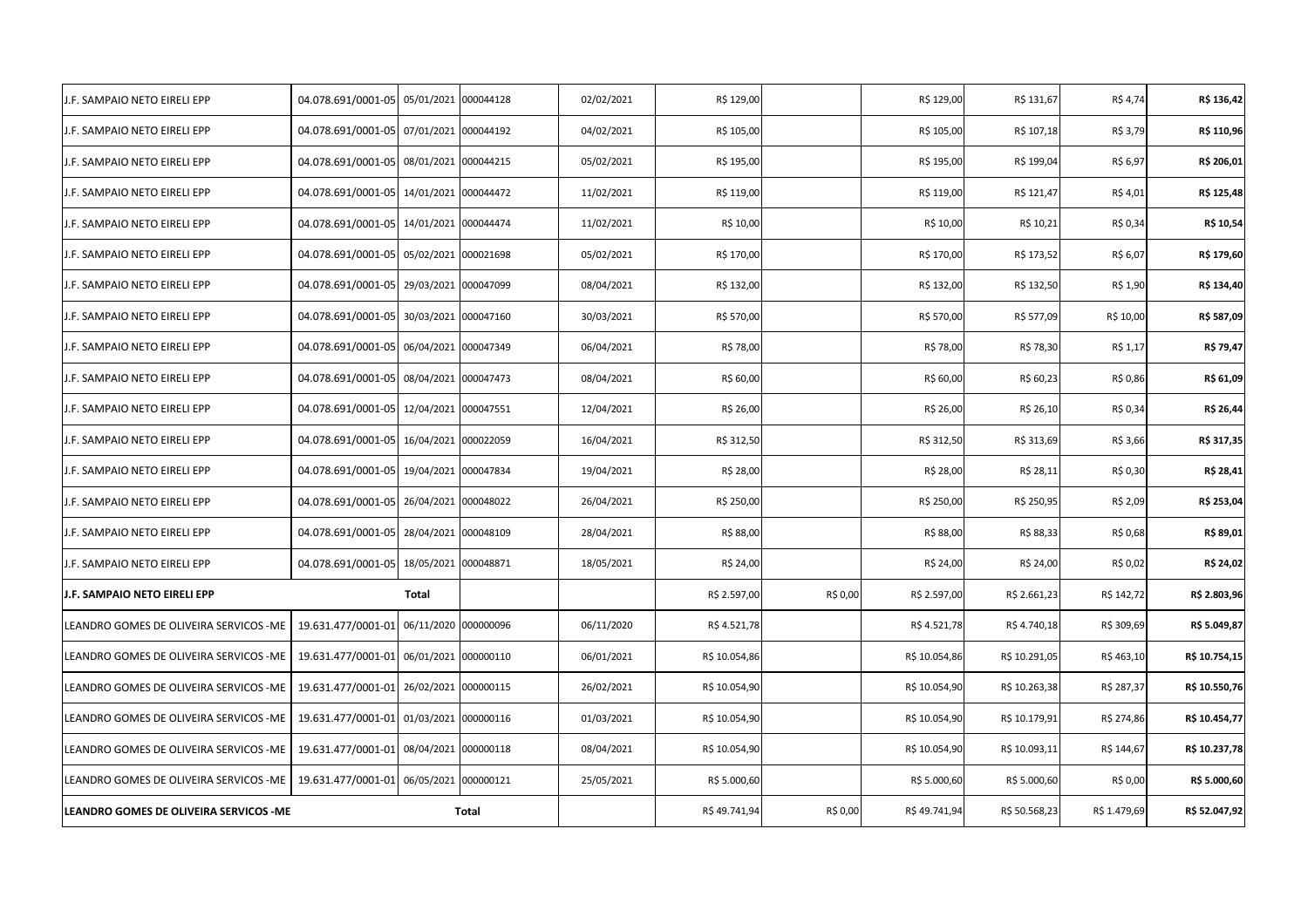| .F. SAMPAIO NETO EIRELI EPP             | 04.078.691/0001-05                      | 05/01/2021           | 000044128 | 02/02/2021 | R\$ 129,00    |                          | R\$ 129,00    | R\$ 131,67    | R\$ 4,74     | R\$ 136,42    |
|-----------------------------------------|-----------------------------------------|----------------------|-----------|------------|---------------|--------------------------|---------------|---------------|--------------|---------------|
| I.F. SAMPAIO NETO EIRELI EPP            | 04.078.691/0001-05                      | 07/01/2021           | 000044192 | 04/02/2021 | R\$ 105,00    |                          | R\$ 105,00    | R\$ 107,18    | R\$ 3,79     | R\$ 110,96    |
| J.F. SAMPAIO NETO EIRELI EPP            | 04.078.691/0001-05 08/01/2021 000044215 |                      |           | 05/02/2021 | R\$ 195,00    |                          | R\$ 195,00    | R\$ 199,04    | R\$ 6,97     | R\$ 206,01    |
| .F. SAMPAIO NETO EIRELI EPP             | 04.078.691/0001-05 14/01/2021 000044472 |                      |           | 11/02/2021 | R\$ 119,00    |                          | R\$ 119,00    | R\$ 121,47    | R\$ 4,01     | R\$ 125,48    |
| F. SAMPAIO NETO EIRELI EPP              | 04.078.691/0001-05 14/01/2021 000044474 |                      |           | 11/02/2021 | R\$ 10,00     |                          | R\$ 10,00     | R\$ 10,21     | R\$ 0,34     | R\$ 10,54     |
| I.F. SAMPAIO NETO EIRELI EPP            | 04.078.691/0001-05 05/02/2021 000021698 |                      |           | 05/02/2021 | R\$ 170,00    |                          | R\$ 170,00    | R\$ 173,52    | R\$ 6,07     | R\$ 179,60    |
| I.F. SAMPAIO NETO EIRELI EPP            | 04.078.691/0001-05                      | 29/03/2021           | 000047099 | 08/04/2021 | R\$ 132,00    |                          | R\$ 132,00    | R\$ 132,50    | R\$ 1,90     | R\$ 134,40    |
| J.F. SAMPAIO NETO EIRELI EPP            | 04.078.691/0001-05 30/03/2021 000047160 |                      |           | 30/03/2021 | R\$ 570,00    |                          | R\$ 570,00    | R\$ 577,09    | R\$ 10,00    | R\$ 587,09    |
| I.F. SAMPAIO NETO EIRELI EPP            | 04.078.691/0001-05                      | 06/04/2021           | 000047349 | 06/04/2021 | R\$ 78,00     |                          | R\$ 78,00     | R\$ 78,30     | R\$ 1,17     | R\$ 79,47     |
| I.F. SAMPAIO NETO EIRELI EPP            | 04.078.691/0001-05                      | 08/04/2021 000047473 |           | 08/04/2021 | R\$ 60,00     |                          | R\$ 60,00     | R\$ 60,23     | R\$ 0,86     | R\$ 61,09     |
| <b>J.F. SAMPAIO NETO EIRELI EPP</b>     | 04.078.691/0001-05 12/04/2021           |                      | 000047551 | 12/04/2021 | R\$ 26,00     |                          | R\$ 26,00     | R\$ 26,10     | R\$ 0,34     | R\$ 26,44     |
| I.F. SAMPAIO NETO EIRELI EPP            | 04.078.691/0001-05 16/04/2021 000022059 |                      |           | 16/04/2021 | R\$ 312,50    |                          | R\$ 312,50    | R\$ 313,69    | R\$ 3,66     | R\$ 317,35    |
| I.F. SAMPAIO NETO EIRELI EPP            | 04.078.691/0001-05 19/04/2021 000047834 |                      |           | 19/04/2021 | R\$ 28,00     |                          | R\$ 28,00     | R\$ 28,11     | R\$ 0,30     | R\$ 28,41     |
| F. SAMPAIO NETO EIRELI EPP              | 04.078.691/0001-05 26/04/2021 000048022 |                      |           | 26/04/2021 | R\$ 250,00    |                          | R\$ 250,00    | R\$ 250,95    | R\$ 2,09     | R\$ 253,04    |
| I.F. SAMPAIO NETO EIRELI EPP            | 04.078.691/0001-05 28/04/2021 000048109 |                      |           | 28/04/2021 | R\$ 88,00     |                          | R\$ 88,00     | R\$ 88,33     | R\$ 0,68     | R\$ 89,01     |
| J.F. SAMPAIO NETO EIRELI EPP            | 04.078.691/0001-05                      | 18/05/2021 000048871 |           | 18/05/2021 | R\$ 24,00     |                          | R\$ 24,00     | R\$ 24,00     | R\$ 0,02     | R\$ 24,02     |
| J.F. SAMPAIO NETO EIRELI EPP            |                                         | <b>Total</b>         |           |            | R\$ 2.597,00  | R\$ 0,00                 | R\$ 2.597,00  | R\$ 2.661,23  | R\$ 142,72   | R\$ 2.803,96  |
| LEANDRO GOMES DE OLIVEIRA SERVICOS -ME  | 19.631.477/0001-01                      | 06/11/2020 000000096 |           | 06/11/2020 | R\$ 4.521,78  |                          | R\$ 4.521,78  | R\$4.740,18   | R\$ 309,69   | R\$ 5.049,87  |
| LEANDRO GOMES DE OLIVEIRA SERVICOS - ME | 19.631.477/0001-01 06/01/2021           |                      | 000000110 | 06/01/2021 | R\$ 10.054,86 |                          | R\$ 10.054,86 | R\$ 10.291,05 | R\$463,10    | R\$ 10.754,15 |
| LEANDRO GOMES DE OLIVEIRA SERVICOS - ME | 19.631.477/0001-01 26/02/2021           |                      | 000000115 | 26/02/2021 | R\$ 10.054,90 |                          | R\$ 10.054,90 | R\$ 10.263,38 | R\$ 287,37   | R\$ 10.550,76 |
| LEANDRO GOMES DE OLIVEIRA SERVICOS -ME  | 19.631.477/0001-01 01/03/2021 000000116 |                      |           | 01/03/2021 | R\$ 10.054,90 |                          | R\$ 10.054,90 | R\$ 10.179,91 | R\$ 274,86   | R\$ 10.454,77 |
| LEANDRO GOMES DE OLIVEIRA SERVICOS -ME  | 19.631.477/0001-01 08/04/2021           |                      | 000000118 | 08/04/2021 | R\$ 10.054,90 |                          | R\$ 10.054,90 | R\$ 10.093,11 | R\$ 144,67   | R\$ 10.237,78 |
| LEANDRO GOMES DE OLIVEIRA SERVICOS -ME  | 19.631.477/0001-01 06/05/2021           |                      | 000000121 | 25/05/2021 | R\$ 5.000,60  |                          | R\$ 5.000,60  | R\$ 5.000,60  | R\$ 0,00     | R\$ 5.000,60  |
| LEANDRO GOMES DE OLIVEIRA SERVICOS - ME | Total                                   |                      |           |            |               | R\$49.741,94<br>R\$ 0,00 | R\$49.741,94  | R\$ 50.568,23 | R\$ 1.479,69 | R\$ 52.047,92 |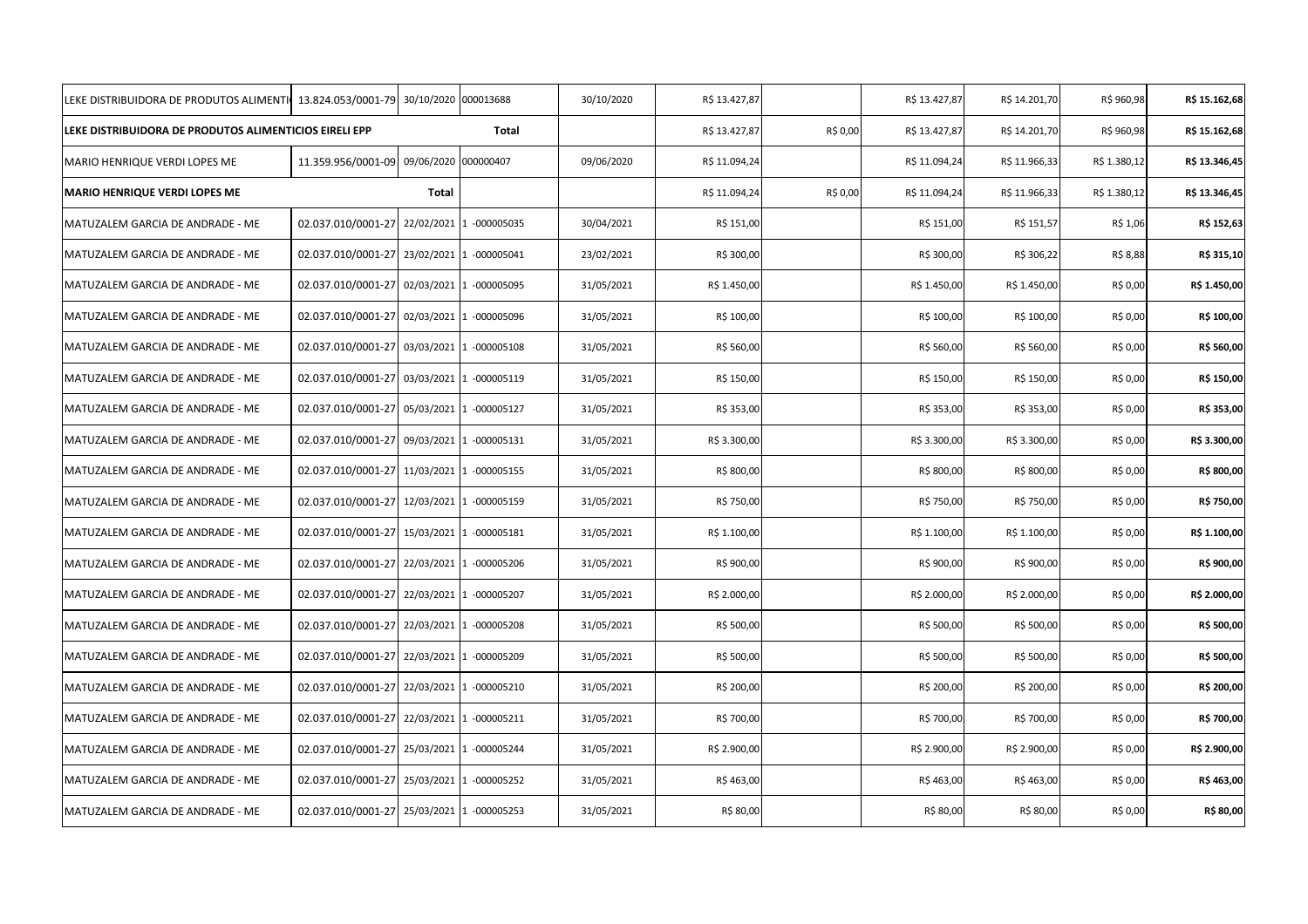| LEKE DISTRIBUIDORA DE PRODUTOS ALIMENTI 13.824.053/0001-79 |                                            | 30/10/2020 000013688 |                         | 30/10/2020 | R\$ 13.427,87 |          | R\$ 13.427,87 | R\$ 14.201,70 | R\$ 960,98   | R\$ 15.162,68 |
|------------------------------------------------------------|--------------------------------------------|----------------------|-------------------------|------------|---------------|----------|---------------|---------------|--------------|---------------|
| LEKE DISTRIBUIDORA DE PRODUTOS ALIMENTICIOS EIRELI EPP     |                                            |                      | Total                   |            | R\$ 13.427,87 | R\$ 0,00 | R\$ 13.427,87 | R\$ 14.201,70 | R\$ 960,98   | R\$ 15.162,68 |
| MARIO HENRIQUE VERDI LOPES ME                              | 11.359.956/0001-09 09/06/2020 000000407    |                      |                         | 09/06/2020 | R\$ 11.094,24 |          | R\$ 11.094,24 | R\$ 11.966,33 | R\$ 1.380,12 | R\$ 13.346,45 |
| <b>MARIO HENRIQUE VERDI LOPES ME</b>                       |                                            | Total                |                         |            | R\$ 11.094,24 | R\$ 0,00 | R\$ 11.094,24 | R\$ 11.966,33 | R\$ 1.380,12 | R\$ 13.346,45 |
| MATUZALEM GARCIA DE ANDRADE - ME                           | 02.037.010/0001-27 22/02/2021 1 -000005035 |                      |                         | 30/04/2021 | R\$ 151,00    |          | R\$ 151,00    | R\$ 151,57    | R\$ 1,06     | R\$ 152,63    |
| MATUZALEM GARCIA DE ANDRADE - ME                           | 02.037.010/0001-27 23/02/2021 1 -000005041 |                      |                         | 23/02/2021 | R\$ 300,00    |          | R\$ 300,00    | R\$ 306,22    | R\$ 8,88     | R\$ 315,10    |
| MATUZALEM GARCIA DE ANDRADE - ME                           | 02.037.010/0001-27 02/03/2021 1 -000005095 |                      |                         | 31/05/2021 | R\$ 1.450,00  |          | R\$ 1.450,00  | R\$ 1.450,00  | R\$ 0,00     | R\$ 1.450,00  |
| MATUZALEM GARCIA DE ANDRADE - ME                           | 02.037.010/0001-27 02/03/2021 1 -000005096 |                      |                         | 31/05/2021 | R\$ 100,00    |          | R\$ 100,00    | R\$ 100,00    | R\$ 0,00     | R\$ 100,00    |
| MATUZALEM GARCIA DE ANDRADE - ME                           | 02.037.010/0001-27                         |                      | 03/03/2021 1 -000005108 | 31/05/2021 | R\$ 560,00    |          | R\$ 560,00    | R\$ 560,00    | R\$ 0,00     | R\$ 560,00    |
| MATUZALEM GARCIA DE ANDRADE - ME                           | 02.037.010/0001-27 03/03/2021 1 -000005119 |                      |                         | 31/05/2021 | R\$ 150,00    |          | R\$ 150,00    | R\$ 150,00    | R\$ 0,00     | R\$ 150,00    |
| MATUZALEM GARCIA DE ANDRADE - ME                           | 02.037.010/0001-27 05/03/2021 1 -000005127 |                      |                         | 31/05/2021 | R\$ 353,00    |          | R\$ 353,00    | R\$ 353,00    | R\$ 0,00     | R\$ 353,00    |
| MATUZALEM GARCIA DE ANDRADE - ME                           | 02.037.010/0001-27 09/03/2021 1 -000005131 |                      |                         | 31/05/2021 | R\$ 3.300,00  |          | R\$ 3.300,00  | R\$ 3.300,00  | R\$ 0,00     | R\$ 3.300,00  |
| MATUZALEM GARCIA DE ANDRADE - ME                           | 02.037.010/0001-27 11/03/2021 1 -000005155 |                      |                         | 31/05/2021 | R\$ 800,00    |          | R\$ 800,00    | R\$ 800,00    | R\$ 0,00     | R\$ 800,00    |
| MATUZALEM GARCIA DE ANDRADE - ME                           | 02.037.010/0001-27 12/03/2021 1 -000005159 |                      |                         | 31/05/2021 | R\$ 750,00    |          | R\$ 750,00    | R\$ 750,00    | R\$ 0,00     | R\$ 750,00    |
| MATUZALEM GARCIA DE ANDRADE - ME                           | 02.037.010/0001-27 15/03/2021 1 -000005181 |                      |                         | 31/05/2021 | R\$ 1.100,00  |          | R\$ 1.100,00  | R\$ 1.100,00  | R\$ 0,00     | R\$ 1.100,00  |
| MATUZALEM GARCIA DE ANDRADE - ME                           | 02.037.010/0001-27 22/03/2021 1 -000005206 |                      |                         | 31/05/2021 | R\$ 900,00    |          | R\$ 900,00    | R\$ 900,00    | R\$ 0,00     | R\$ 900,00    |
| MATUZALEM GARCIA DE ANDRADE - ME                           | 02.037.010/0001-27 22/03/2021 1 -000005207 |                      |                         | 31/05/2021 | R\$ 2.000,00  |          | R\$ 2.000,00  | R\$ 2.000,00  | R\$ 0,00     | R\$ 2.000,00  |
| MATUZALEM GARCIA DE ANDRADE - ME                           | 02.037.010/0001-27 22/03/2021 1 -000005208 |                      |                         | 31/05/2021 | R\$ 500,00    |          | R\$ 500,00    | R\$ 500,00    | R\$ 0,00     | R\$ 500,00    |
| MATUZALEM GARCIA DE ANDRADE - ME                           | 02.037.010/0001-27 22/03/2021 1 -000005209 |                      |                         | 31/05/2021 | R\$ 500,00    |          | R\$ 500,00    | R\$ 500,00    | R\$ 0,00     | R\$ 500,00    |
| MATUZALEM GARCIA DE ANDRADE - ME                           | 02.037.010/0001-27 22/03/2021 1 -000005210 |                      |                         | 31/05/2021 | R\$ 200,00    |          | R\$ 200,00    | R\$ 200,00    | R\$ 0,00     | R\$ 200,00    |
| MATUZALEM GARCIA DE ANDRADE - ME                           | 02.037.010/0001-27 22/03/2021 1 -000005211 |                      |                         | 31/05/2021 | R\$ 700,00    |          | R\$ 700,00    | R\$ 700,00    | R\$ 0,00     | R\$ 700,00    |
| MATUZALEM GARCIA DE ANDRADE - ME                           | 02.037.010/0001-27 25/03/2021 1 -000005244 |                      |                         | 31/05/2021 | R\$ 2.900,00  |          | R\$ 2.900,00  | R\$ 2.900,00  | R\$ 0,00     | R\$ 2.900,00  |
| MATUZALEM GARCIA DE ANDRADE - ME                           | 02.037.010/0001-27 25/03/2021 1 -000005252 |                      |                         | 31/05/2021 | R\$463,00     |          | R\$463,00     | R\$463,00     | R\$ 0,00     | R\$463,00     |
| MATUZALEM GARCIA DE ANDRADE - ME                           | 02.037.010/0001-27 25/03/2021 1 -000005253 |                      |                         | 31/05/2021 | R\$ 80,00     |          | R\$ 80,00     | R\$ 80,00     | R\$ 0,00     | R\$ 80,00     |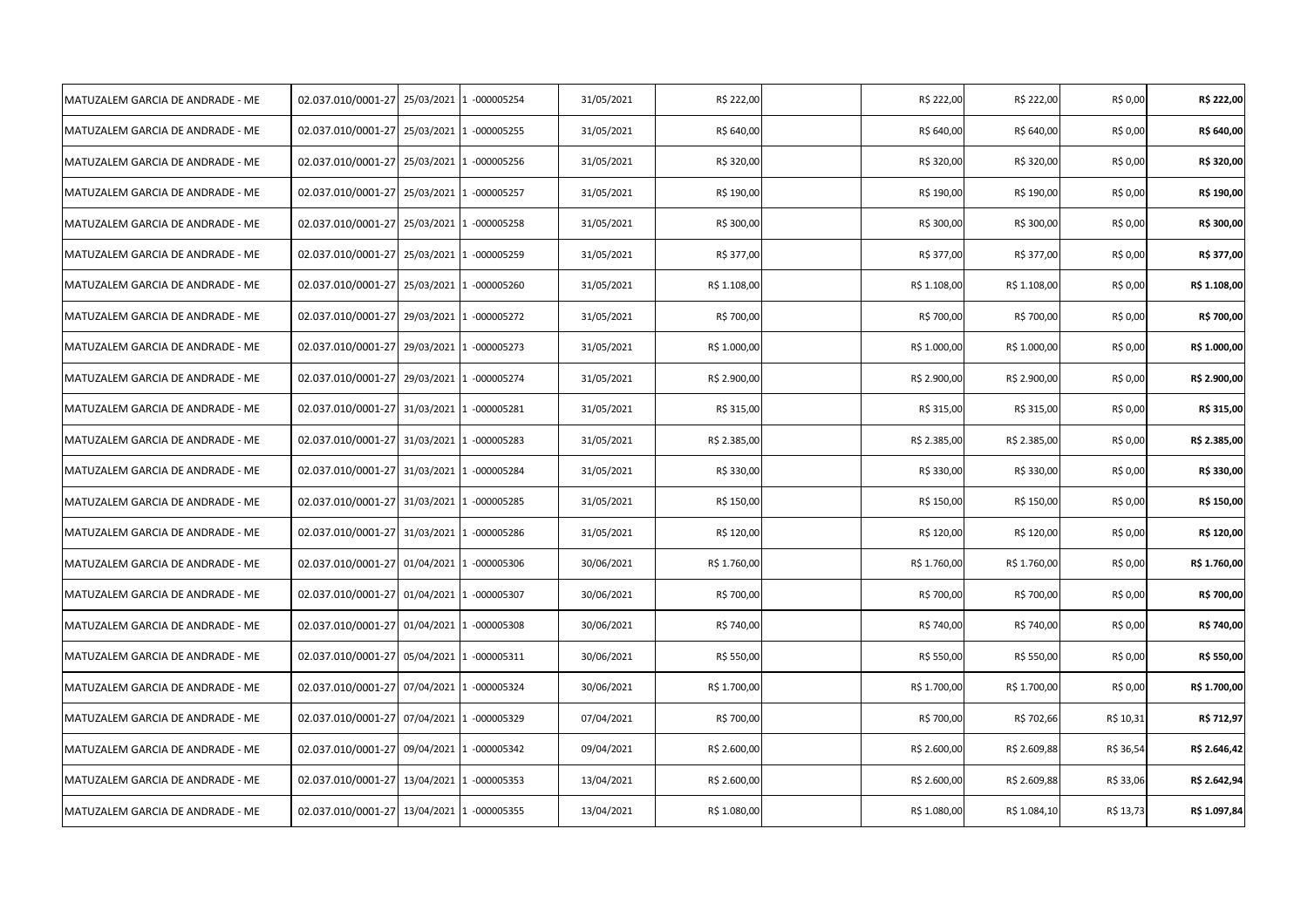| MATUZALEM GARCIA DE ANDRADE - ME | 02.037.010/0001-27 25/03/2021 1 -000005254 |                         | 31/05/2021 | R\$ 222,00   | R\$ 222,00   | R\$ 222,00   | R\$ 0,00  | R\$ 222,00   |
|----------------------------------|--------------------------------------------|-------------------------|------------|--------------|--------------|--------------|-----------|--------------|
| MATUZALEM GARCIA DE ANDRADE - ME | 02.037.010/0001-27 25/03/2021 1 -000005255 |                         | 31/05/2021 | R\$ 640,00   | R\$ 640,00   | R\$ 640,00   | R\$ 0,00  | R\$ 640,00   |
| MATUZALEM GARCIA DE ANDRADE - ME | 02.037.010/0001-27 25/03/2021 1 -000005256 |                         | 31/05/2021 | R\$ 320,00   | R\$ 320,00   | R\$ 320,00   | R\$ 0,00  | R\$ 320,00   |
| MATUZALEM GARCIA DE ANDRADE - ME | 02.037.010/0001-27 25/03/2021 1 -000005257 |                         | 31/05/2021 | R\$ 190,00   | R\$ 190,00   | R\$ 190,00   | R\$ 0,00  | R\$ 190,00   |
| MATUZALEM GARCIA DE ANDRADE - ME | 02.037.010/0001-27 25/03/2021 1 -000005258 |                         | 31/05/2021 | R\$ 300,00   | R\$ 300,00   | R\$ 300,00   | R\$ 0,00  | R\$ 300,00   |
| MATUZALEM GARCIA DE ANDRADE - ME | 02.037.010/0001-27 25/03/2021 1 -000005259 |                         | 31/05/2021 | R\$ 377,00   | R\$ 377,00   | R\$ 377,00   | R\$ 0,00  | R\$ 377,00   |
| MATUZALEM GARCIA DE ANDRADE - ME | 02.037.010/0001-27 25/03/2021 1 -000005260 |                         | 31/05/2021 | R\$ 1.108,00 | R\$ 1.108,00 | R\$ 1.108,00 | R\$ 0,00  | R\$ 1.108,00 |
| MATUZALEM GARCIA DE ANDRADE - ME | 02.037.010/0001-27 29/03/2021 1 -000005272 |                         | 31/05/2021 | R\$ 700,00   | R\$ 700,00   | R\$ 700,00   | R\$ 0,00  | R\$ 700,00   |
| MATUZALEM GARCIA DE ANDRADE - ME | 02.037.010/0001-27 29/03/2021 1 -000005273 |                         | 31/05/2021 | R\$ 1.000,00 | R\$ 1.000,00 | R\$ 1.000,00 | R\$ 0,00  | R\$ 1.000,00 |
| MATUZALEM GARCIA DE ANDRADE - ME | 02.037.010/0001-27 29/03/2021 1 -000005274 |                         | 31/05/2021 | R\$ 2.900,00 | R\$ 2.900,00 | R\$ 2.900,00 | R\$ 0,00  | R\$ 2.900,00 |
| MATUZALEM GARCIA DE ANDRADE - ME | 02.037.010/0001-27 31/03/2021 1 -000005281 |                         | 31/05/2021 | R\$ 315,00   | R\$ 315,00   | R\$ 315,00   | R\$ 0,00  | R\$ 315,00   |
| MATUZALEM GARCIA DE ANDRADE - ME | 02.037.010/0001-27 31/03/2021 1 -000005283 |                         | 31/05/2021 | R\$ 2.385,00 | R\$ 2.385,00 | R\$ 2.385,00 | R\$ 0,00  | R\$ 2.385,00 |
| MATUZALEM GARCIA DE ANDRADE - ME | 02.037.010/0001-27 31/03/2021 1 -000005284 |                         | 31/05/2021 | R\$ 330,00   | R\$ 330,00   | R\$ 330,00   | R\$ 0,00  | R\$ 330,00   |
| MATUZALEM GARCIA DE ANDRADE - ME | 02.037.010/0001-27 31/03/2021 1 -000005285 |                         | 31/05/2021 | R\$ 150,00   | R\$ 150,00   | R\$ 150,00   | R\$ 0,00  | R\$ 150,00   |
| MATUZALEM GARCIA DE ANDRADE - ME | 02.037.010/0001-27 31/03/2021 1 -000005286 |                         | 31/05/2021 | R\$ 120,00   | R\$ 120,00   | R\$ 120,00   | R\$ 0,00  | R\$ 120,00   |
| MATUZALEM GARCIA DE ANDRADE - ME | 02.037.010/0001-27 01/04/2021 1 -000005306 |                         | 30/06/2021 | R\$ 1.760,00 | R\$ 1.760,00 | R\$ 1.760,00 | R\$ 0,00  | R\$ 1.760,00 |
| MATUZALEM GARCIA DE ANDRADE - ME | 02.037.010/0001-27 01/04/2021 1 -000005307 |                         | 30/06/2021 | R\$ 700,00   | R\$ 700,00   | R\$ 700,00   | R\$ 0,00  | R\$ 700,00   |
| MATUZALEM GARCIA DE ANDRADE - ME | 02.037.010/0001-27                         | 01/04/2021 1 -000005308 | 30/06/2021 | R\$ 740,00   | R\$ 740,00   | R\$ 740,00   | R\$ 0,00  | R\$ 740,00   |
| MATUZALEM GARCIA DE ANDRADE - ME | 02.037.010/0001-27                         | 05/04/2021 1 -000005311 | 30/06/2021 | R\$ 550,00   | R\$ 550,00   | R\$ 550,00   | R\$ 0,00  | R\$ 550,00   |
| MATUZALEM GARCIA DE ANDRADE - ME | 02.037.010/0001-27 07/04/2021 1 -000005324 |                         | 30/06/2021 | R\$ 1.700,00 | R\$ 1.700,00 | R\$ 1.700,00 | R\$ 0,00  | R\$ 1.700,00 |
| MATUZALEM GARCIA DE ANDRADE - ME | 02.037.010/0001-27 07/04/2021 1 -000005329 |                         | 07/04/2021 | R\$ 700,00   | R\$ 700,00   | R\$ 702,66   | R\$ 10,31 | R\$ 712,97   |
| MATUZALEM GARCIA DE ANDRADE - ME | 02.037.010/0001-27 09/04/2021 1 -000005342 |                         | 09/04/2021 | R\$ 2.600,00 | R\$ 2.600,00 | R\$ 2.609,88 | R\$ 36,54 | R\$ 2.646,42 |
| MATUZALEM GARCIA DE ANDRADE - ME | 02.037.010/0001-27 13/04/2021 1 -000005353 |                         | 13/04/2021 | R\$ 2.600,00 | R\$ 2.600,00 | R\$ 2.609,88 | R\$ 33,06 | R\$ 2.642,94 |
| MATUZALEM GARCIA DE ANDRADE - ME | 02.037.010/0001-27 13/04/2021 1 -000005355 |                         | 13/04/2021 | R\$ 1.080,00 | R\$ 1.080,00 | R\$ 1.084,10 | R\$ 13,73 | R\$ 1.097,84 |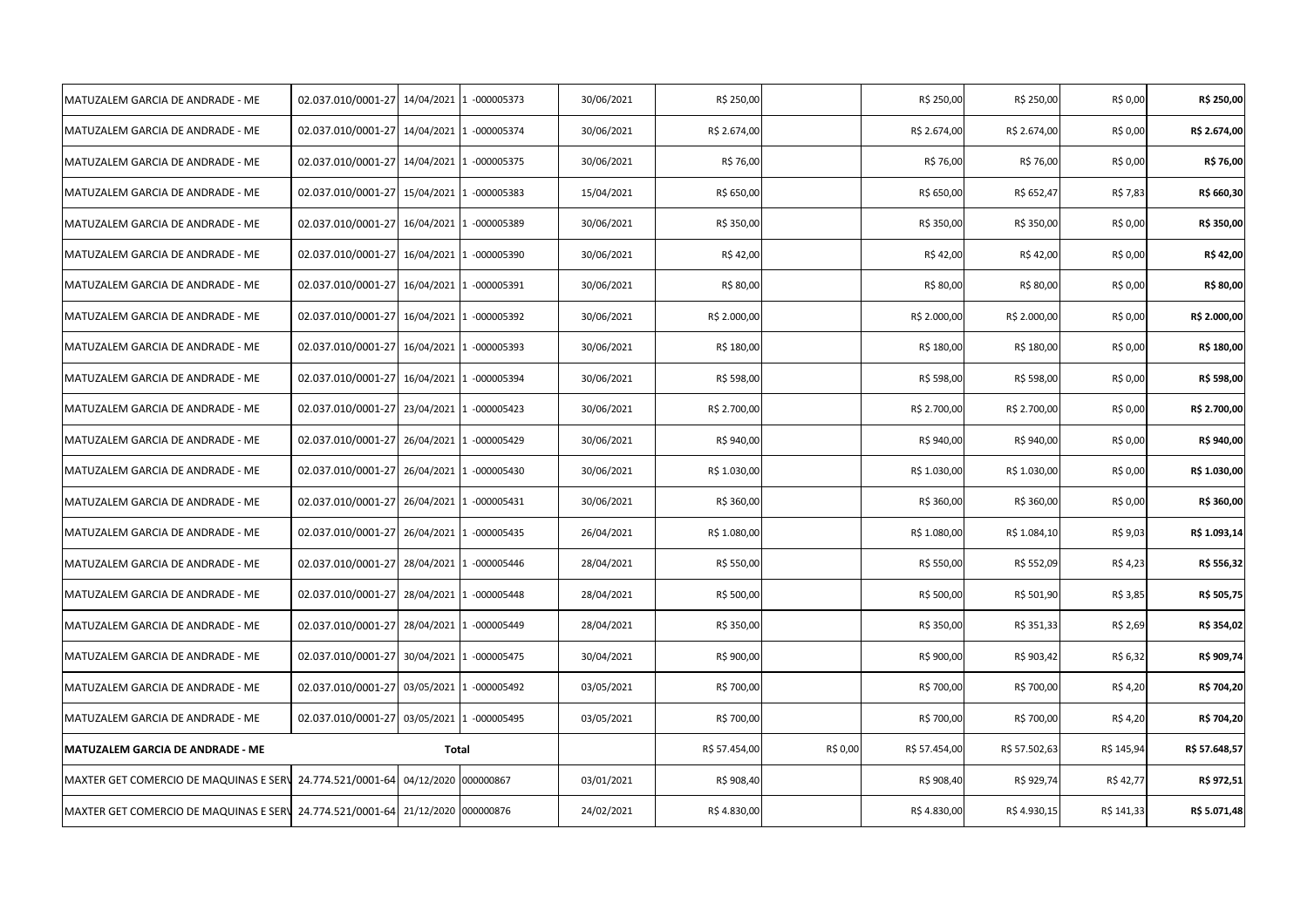| MATUZALEM GARCIA DE ANDRADE - ME                                               | 02.037.010/0001-27                         |            | 14/04/2021 1 -000005373 | 30/06/2021 | R\$ 250,00    |          | R\$ 250,00    | R\$ 250,00    | R\$ 0,00   | R\$ 250,00    |
|--------------------------------------------------------------------------------|--------------------------------------------|------------|-------------------------|------------|---------------|----------|---------------|---------------|------------|---------------|
| MATUZALEM GARCIA DE ANDRADE - ME                                               | 02.037.010/0001-27 14/04/2021 1 -000005374 |            |                         | 30/06/2021 | R\$ 2.674,00  |          | R\$ 2.674,00  | R\$ 2.674,00  | R\$ 0,00   | R\$ 2.674,00  |
| MATUZALEM GARCIA DE ANDRADE - ME                                               | 02.037.010/0001-27 14/04/2021 1 -000005375 |            |                         | 30/06/2021 | R\$ 76,00     |          | R\$ 76,00     | R\$ 76,00     | R\$ 0,00   | R\$ 76,00     |
| MATUZALEM GARCIA DE ANDRADE - ME                                               | 02.037.010/0001-27 15/04/2021 1 -000005383 |            |                         | 15/04/2021 | R\$ 650,00    |          | R\$ 650,00    | R\$ 652,47    | R\$ 7,83   | R\$ 660,30    |
| MATUZALEM GARCIA DE ANDRADE - ME                                               | 02.037.010/0001-27 16/04/2021 1 -000005389 |            |                         | 30/06/2021 | R\$ 350,00    |          | R\$ 350,00    | R\$ 350,00    | R\$ 0,00   | R\$ 350,00    |
| MATUZALEM GARCIA DE ANDRADE - ME                                               | 02.037.010/0001-27 16/04/2021 1 -000005390 |            |                         | 30/06/2021 | R\$42,00      |          | R\$42,00      | R\$42,00      | R\$ 0,00   | R\$42,00      |
| MATUZALEM GARCIA DE ANDRADE - ME                                               | 02.037.010/0001-27 16/04/2021 1 -000005391 |            |                         | 30/06/2021 | R\$80,00      |          | R\$ 80,00     | R\$ 80,00     | R\$ 0,00   | R\$80,00      |
| MATUZALEM GARCIA DE ANDRADE - ME                                               | 02.037.010/0001-27 16/04/2021 1 -000005392 |            |                         | 30/06/2021 | R\$ 2.000,00  |          | R\$ 2.000,00  | R\$ 2.000,00  | R\$ 0,00   | R\$ 2.000,00  |
| MATUZALEM GARCIA DE ANDRADE - ME                                               | 02.037.010/0001-27 16/04/2021 1 -000005393 |            |                         | 30/06/2021 | R\$ 180,00    |          | R\$ 180,00    | R\$ 180,00    | R\$ 0,00   | R\$ 180,00    |
| MATUZALEM GARCIA DE ANDRADE - ME                                               | 02.037.010/0001-27 16/04/2021 1 -000005394 |            |                         | 30/06/2021 | R\$ 598,00    |          | R\$ 598,00    | R\$ 598,00    | R\$ 0,00   | R\$ 598,00    |
| MATUZALEM GARCIA DE ANDRADE - ME                                               | 02.037.010/0001-27 23/04/2021 1 -000005423 |            |                         | 30/06/2021 | R\$ 2.700,00  |          | R\$ 2.700,00  | R\$ 2.700,00  | R\$ 0,00   | R\$ 2.700,00  |
| MATUZALEM GARCIA DE ANDRADE - ME                                               | 02.037.010/0001-27 26/04/2021 1 -000005429 |            |                         | 30/06/2021 | R\$ 940,00    |          | R\$ 940,00    | R\$ 940,00    | R\$ 0,00   | R\$ 940,00    |
| MATUZALEM GARCIA DE ANDRADE - ME                                               | 02.037.010/0001-27 26/04/2021 1 -000005430 |            |                         | 30/06/2021 | R\$ 1.030,00  |          | R\$ 1.030,00  | R\$ 1.030,00  | R\$ 0,00   | R\$ 1.030,00  |
| MATUZALEM GARCIA DE ANDRADE - ME                                               | 02.037.010/0001-27 26/04/2021 1 -000005431 |            |                         | 30/06/2021 | R\$ 360,00    |          | R\$ 360,00    | R\$ 360,00    | R\$ 0,00   | R\$ 360,00    |
| MATUZALEM GARCIA DE ANDRADE - ME                                               | 02.037.010/0001-27 26/04/2021 1 -000005435 |            |                         | 26/04/2021 | R\$ 1.080,00  |          | R\$ 1.080,00  | R\$ 1.084,10  | R\$ 9,03   | R\$ 1.093,14  |
| MATUZALEM GARCIA DE ANDRADE - ME                                               | 02.037.010/0001-27 28/04/2021 1 -000005446 |            |                         | 28/04/2021 | R\$ 550,00    |          | R\$ 550,00    | R\$ 552,09    | R\$ 4,23   | R\$ 556,32    |
| MATUZALEM GARCIA DE ANDRADE - ME                                               | 02.037.010/0001-27 28/04/2021 1 -000005448 |            |                         | 28/04/2021 | R\$ 500,00    |          | R\$ 500,00    | R\$ 501,90    | R\$ 3,85   | R\$ 505,75    |
| MATUZALEM GARCIA DE ANDRADE - ME                                               | 02.037.010/0001-27 28/04/2021 1 -000005449 |            |                         | 28/04/2021 | R\$ 350,00    |          | R\$ 350,00    | R\$ 351,33    | R\$ 2,69   | R\$ 354,02    |
| MATUZALEM GARCIA DE ANDRADE - ME                                               | 02.037.010/0001-27 30/04/2021 1 -000005475 |            |                         | 30/04/2021 | R\$ 900,00    |          | R\$ 900,00    | R\$ 903,42    | R\$ 6,32   | R\$ 909,74    |
| MATUZALEM GARCIA DE ANDRADE - ME                                               | 02.037.010/0001-27 03/05/2021 1 -000005492 |            |                         | 03/05/2021 | R\$ 700,00    |          | R\$ 700,00    | R\$ 700,00    | R\$ 4,20   | R\$ 704,20    |
| MATUZALEM GARCIA DE ANDRADE - ME                                               | 02.037.010/0001-27 03/05/2021 1 -000005495 |            |                         | 03/05/2021 | R\$ 700,00    |          | R\$ 700,00    | R\$ 700,00    | R\$ 4,20   | R\$ 704,20    |
| MATUZALEM GARCIA DE ANDRADE - ME                                               |                                            | Total      |                         |            | R\$ 57.454,00 | R\$ 0,00 | R\$ 57.454,00 | R\$ 57.502,63 | R\$ 145,94 | R\$ 57.648,57 |
| MAXTER GET COMERCIO DE MAQUINAS E SERV                                         | 24.774.521/0001-64                         | 04/12/2020 | 000000867               | 03/01/2021 | R\$ 908,40    |          | R\$ 908,40    | R\$ 929,74    | R\$ 42,77  | R\$ 972,51    |
| MAXTER GET COMERCIO DE MAQUINAS E SERV 24.774.521/0001-64 21/12/2020 000000876 |                                            |            |                         | 24/02/2021 | R\$4.830,00   |          | R\$4.830,00   | R\$4.930,15   | R\$ 141,33 | R\$ 5.071,48  |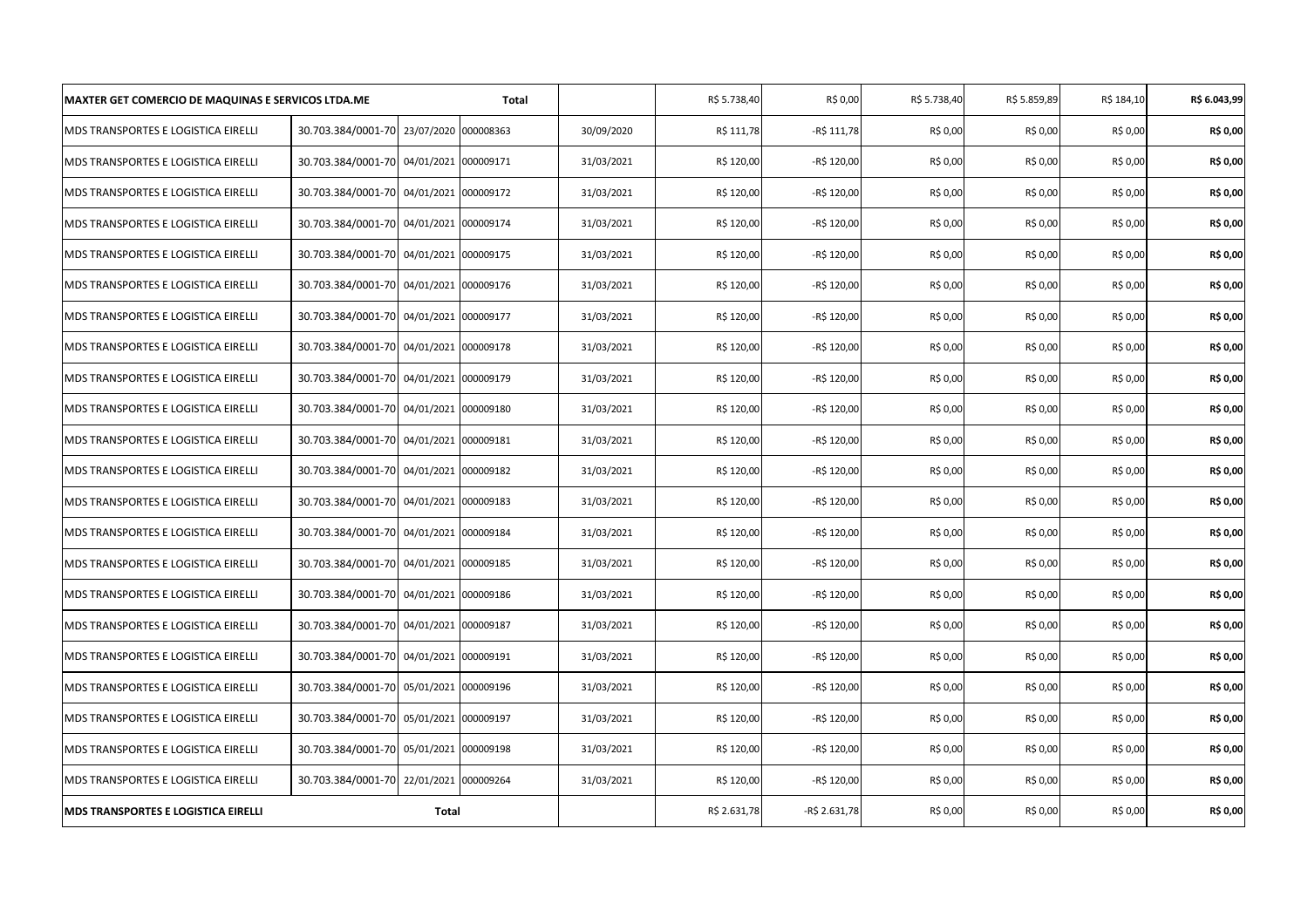| <b>MAXTER GET COMERCIO DE MAQUINAS E SERVICOS LTDA.ME</b> |                                         |                      | <b>Total</b> |            | R\$ 5.738,40 | R\$ 0,00      | R\$ 5.738,40 | R\$ 5.859,89 | R\$ 184,10 | R\$ 6.043,99 |
|-----------------------------------------------------------|-----------------------------------------|----------------------|--------------|------------|--------------|---------------|--------------|--------------|------------|--------------|
| MDS TRANSPORTES E LOGISTICA EIRELLI                       | 30.703.384/0001-70                      | 23/07/2020           | 000008363    | 30/09/2020 | R\$ 111,78   | -R\$ 111,78   | R\$ 0,00     | R\$ 0,00     | R\$ 0,00   | R\$ 0,00     |
| MDS TRANSPORTES E LOGISTICA EIRELLI                       | 30.703.384/0001-70 04/01/2021 000009171 |                      |              | 31/03/2021 | R\$ 120,00   | -R\$ 120,00   | R\$ 0,00     | R\$ 0,00     | R\$ 0,00   | R\$ 0,00     |
| MDS TRANSPORTES E LOGISTICA EIRELLI                       | 30.703.384/0001-70 04/01/2021 000009172 |                      |              | 31/03/2021 | R\$ 120,00   | -R\$ 120,00   | R\$ 0,00     | R\$ 0,00     | R\$ 0,00   | R\$ 0,00     |
| MDS TRANSPORTES E LOGISTICA EIRELLI                       | 30.703.384/0001-70 04/01/2021           |                      | 000009174    | 31/03/2021 | R\$ 120,00   | -R\$ 120,00   | R\$ 0,00     | R\$ 0,00     | R\$ 0,00   | R\$ 0,00     |
| MDS TRANSPORTES E LOGISTICA EIRELLI                       | 30.703.384/0001-70 04/01/2021           |                      | 000009175    | 31/03/2021 | R\$ 120,00   | -R\$ 120,00   | R\$ 0,00     | R\$ 0,00     | R\$ 0,00   | R\$ 0,00     |
| MDS TRANSPORTES E LOGISTICA EIRELLI                       | 30.703.384/0001-70 04/01/2021           |                      | 000009176    | 31/03/2021 | R\$ 120,00   | -R\$ 120,00   | R\$ 0,00     | R\$ 0,00     | R\$ 0,00   | R\$ 0,00     |
| MDS TRANSPORTES E LOGISTICA EIRELLI                       | 30.703.384/0001-70 04/01/2021 000009177 |                      |              | 31/03/2021 | R\$ 120,00   | -R\$ 120,00   | R\$ 0,00     | R\$ 0,00     | R\$ 0,00   | R\$ 0,00     |
| MDS TRANSPORTES E LOGISTICA EIRELLI                       | 30.703.384/0001-70                      | 04/01/2021           | 000009178    | 31/03/2021 | R\$ 120,00   | -R\$ 120,00   | R\$ 0,00     | R\$ 0,00     | R\$ 0,00   | R\$ 0,00     |
| MDS TRANSPORTES E LOGISTICA EIRELLI                       | 30.703.384/0001-70                      | 04/01/2021 000009179 |              | 31/03/2021 | R\$ 120,00   | -R\$ 120,00   | R\$ 0,00     | R\$ 0,00     | R\$ 0,00   | R\$ 0,00     |
| MDS TRANSPORTES E LOGISTICA EIRELLI                       | 30.703.384/0001-70 04/01/2021           |                      | 000009180    | 31/03/2021 | R\$ 120,00   | -R\$ 120,00   | R\$ 0,00     | R\$ 0,00     | R\$ 0,00   | R\$ 0,00     |
| MDS TRANSPORTES E LOGISTICA EIRELLI                       | 30.703.384/0001-70 04/01/2021 000009181 |                      |              | 31/03/2021 | R\$ 120,00   | -R\$ 120,00   | R\$ 0,00     | R\$ 0,00     | R\$ 0,00   | R\$ 0,00     |
| MDS TRANSPORTES E LOGISTICA EIRELLI                       | 30.703.384/0001-70 04/01/2021 000009182 |                      |              | 31/03/2021 | R\$ 120,00   | -R\$ 120,00   | R\$ 0,00     | R\$ 0,00     | R\$ 0,00   | R\$ 0,00     |
| MDS TRANSPORTES E LOGISTICA EIRELLI                       | 30.703.384/0001-70                      | 04/01/2021           | 000009183    | 31/03/2021 | R\$ 120,00   | -R\$ 120,00   | R\$ 0,00     | R\$ 0,00     | R\$ 0,00   | R\$ 0,00     |
| MDS TRANSPORTES E LOGISTICA EIRELLI                       | 30.703.384/0001-70 04/01/2021           |                      | 000009184    | 31/03/2021 | R\$ 120,00   | -R\$ 120,00   | R\$ 0,00     | R\$ 0,00     | R\$ 0,00   | R\$ 0,00     |
| MDS TRANSPORTES E LOGISTICA EIRELLI                       | 30.703.384/0001-70                      | 04/01/2021           | 000009185    | 31/03/2021 | R\$ 120,00   | -R\$ 120,00   | R\$ 0,00     | R\$ 0,00     | R\$ 0,00   | R\$ 0,00     |
| MDS TRANSPORTES E LOGISTICA EIRELLI                       | 30.703.384/0001-70 04/01/2021 000009186 |                      |              | 31/03/2021 | R\$ 120,00   | -R\$ 120,00   | R\$ 0,00     | R\$ 0,00     | R\$ 0,00   | R\$ 0,00     |
| MDS TRANSPORTES E LOGISTICA EIRELLI                       | 30.703.384/0001-70                      | 04/01/2021           | 000009187    | 31/03/2021 | R\$ 120,00   | -R\$ 120,00   | R\$ 0,00     | R\$ 0,00     | R\$ 0,00   | R\$ 0,00     |
| MDS TRANSPORTES E LOGISTICA EIRELLI                       | 30.703.384/0001-70 04/01/2021           |                      | 000009191    | 31/03/2021 | R\$ 120,00   | -R\$ 120,00   | R\$ 0,00     | R\$ 0,00     | R\$ 0,00   | R\$ 0,00     |
| MDS TRANSPORTES E LOGISTICA EIRELLI                       | 30.703.384/0001-70 05/01/2021 000009196 |                      |              | 31/03/2021 | R\$ 120,00   | -R\$ 120,00   | R\$ 0,00     | R\$ 0,00     | R\$ 0,00   | R\$ 0,00     |
| MDS TRANSPORTES E LOGISTICA EIRELLI                       | 30.703.384/0001-70 05/01/2021 000009197 |                      |              | 31/03/2021 | R\$ 120,00   | -R\$ 120,00   | R\$ 0,00     | R\$ 0,00     | R\$ 0,00   | R\$ 0,00     |
| MDS TRANSPORTES E LOGISTICA EIRELLI                       | 30.703.384/0001-70 05/01/2021 000009198 |                      |              | 31/03/2021 | R\$ 120,00   | -R\$ 120,00   | R\$ 0,00     | R\$ 0,00     | R\$ 0,00   | R\$ 0,00     |
| MDS TRANSPORTES E LOGISTICA EIRELLI                       | 30.703.384/0001-70 22/01/2021           |                      | 000009264    | 31/03/2021 | R\$ 120,00   | -R\$ 120,00   | R\$ 0,00     | R\$ 0,00     | R\$ 0,00   | R\$ 0,00     |
| <b>MDS TRANSPORTES E LOGISTICA EIRELLI</b>                |                                         | <b>Total</b>         |              |            | R\$ 2.631,78 | -R\$ 2.631,78 | R\$ 0,00     | R\$ 0,00     | R\$ 0,00   | R\$ 0,00     |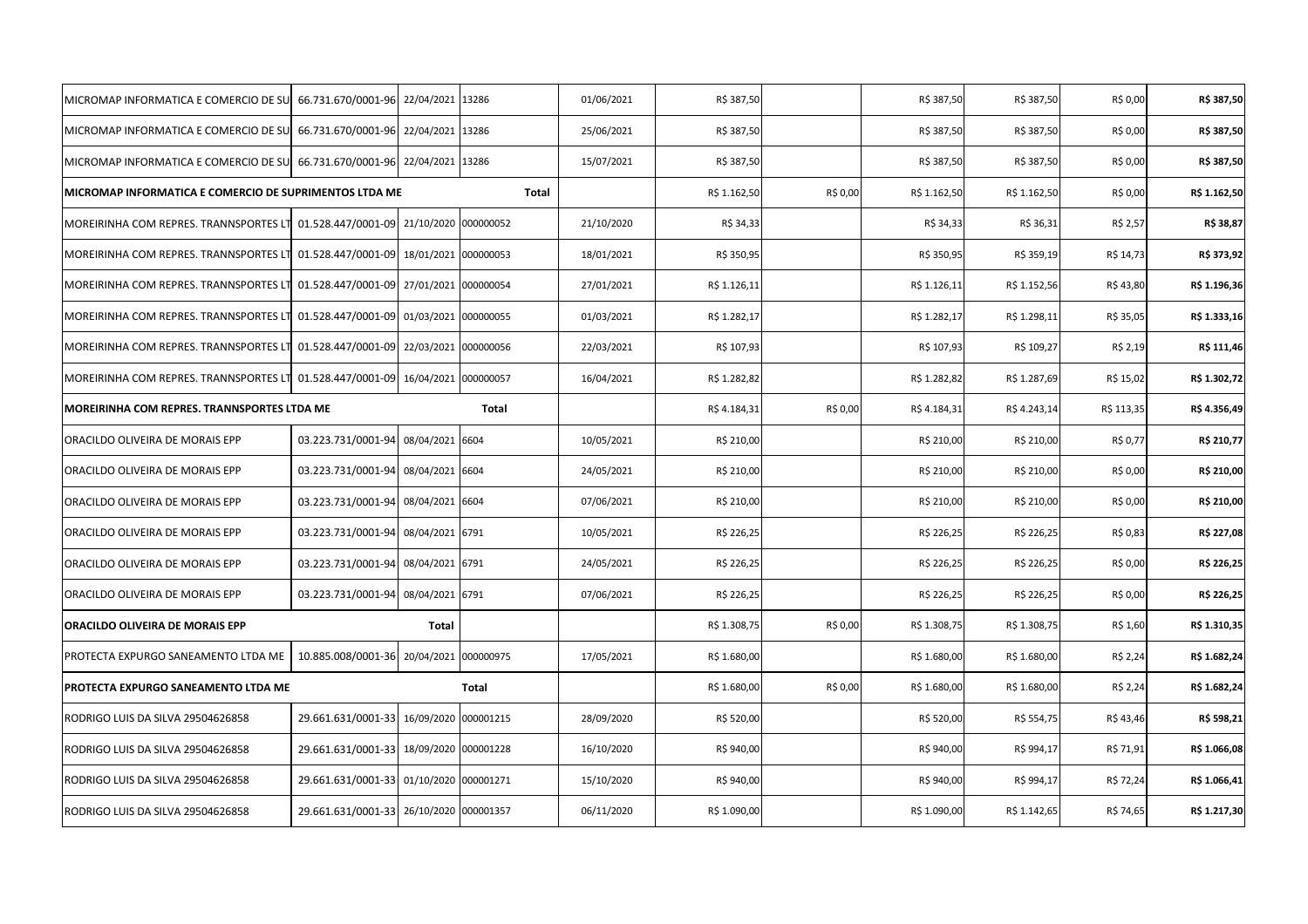| MICROMAP INFORMATICA E COMERCIO DE SU 66.731.670/0001-96                       |                                         | 22/04/2021      | 13286        | 01/06/2021 | R\$ 387,50   |          | R\$ 387,50   | R\$ 387,50   | R\$ 0,00   | R\$ 387,50   |
|--------------------------------------------------------------------------------|-----------------------------------------|-----------------|--------------|------------|--------------|----------|--------------|--------------|------------|--------------|
| MICROMAP INFORMATICA E COMERCIO DE SU 66.731.670/0001-96 22/04/2021            |                                         |                 | 13286        | 25/06/2021 | R\$ 387,50   |          | R\$ 387,50   | R\$ 387,50   | R\$ 0,00   | R\$ 387,50   |
| MICROMAP INFORMATICA E COMERCIO DE SU 66.731.670/0001-96 22/04/2021 13286      |                                         |                 |              | 15/07/2021 | R\$ 387,50   |          | R\$ 387,50   | R\$ 387,50   | R\$ 0,00   | R\$ 387,50   |
| MICROMAP INFORMATICA E COMERCIO DE SUPRIMENTOS LTDA ME                         |                                         |                 | Total        |            | R\$ 1.162,50 | R\$ 0,00 | R\$ 1.162,50 | R\$ 1.162,50 | R\$ 0,00   | R\$ 1.162,50 |
| MOREIRINHA COM REPRES. TRANNSPORTES LT 01.528.447/0001-09 21/10/2020 000000052 |                                         |                 |              | 21/10/2020 | R\$ 34,33    |          | R\$ 34,33    | R\$ 36,31    | R\$ 2,57   | R\$ 38,87    |
| MOREIRINHA COM REPRES. TRANNSPORTES LT                                         | 01.528.447/0001-09                      | 18/01/2021      | 000000053    | 18/01/2021 | R\$ 350,95   |          | R\$ 350,95   | R\$ 359,19   | R\$ 14,73  | R\$ 373,92   |
| MOREIRINHA COM REPRES. TRANNSPORTES LT                                         | 01.528.447/0001-09 27/01/2021           |                 | 000000054    | 27/01/2021 | R\$ 1.126,11 |          | R\$ 1.126,11 | R\$ 1.152,56 | R\$43,80   | R\$ 1.196,36 |
| MOREIRINHA COM REPRES. TRANNSPORTES LT                                         | 01.528.447/0001-09 01/03/2021 000000055 |                 |              | 01/03/2021 | R\$ 1.282,17 |          | R\$ 1.282,17 | R\$ 1.298,11 | R\$ 35,05  | R\$ 1.333,16 |
| MOREIRINHA COM REPRES. TRANNSPORTES LT                                         | 01.528.447/0001-09                      | 22/03/2021      | 000000056    | 22/03/2021 | R\$ 107,93   |          | R\$ 107,93   | R\$ 109,27   | R\$ 2,19   | R\$ 111,46   |
| MOREIRINHA COM REPRES. TRANNSPORTES LT                                         | 01.528.447/0001-09                      | 16/04/2021      | 000000057    | 16/04/2021 | R\$ 1.282,82 |          | R\$ 1.282,82 | R\$ 1.287,69 | R\$ 15,02  | R\$ 1.302,72 |
| MOREIRINHA COM REPRES. TRANNSPORTES LTDA ME                                    |                                         |                 | <b>Total</b> |            | R\$ 4.184,31 | R\$ 0,00 | R\$ 4.184,31 | R\$4.243,14  | R\$ 113,35 | R\$ 4.356,49 |
| ORACILDO OLIVEIRA DE MORAIS EPP                                                | 03.223.731/0001-94                      | 08/04/2021 6604 |              | 10/05/2021 | R\$ 210,00   |          | R\$ 210,00   | R\$ 210,00   | R\$ 0,77   | R\$ 210,77   |
| ORACILDO OLIVEIRA DE MORAIS EPP                                                | 03.223.731/0001-94 08/04/2021 6604      |                 |              | 24/05/2021 | R\$ 210,00   |          | R\$ 210,00   | R\$ 210,00   | R\$ 0,00   | R\$ 210,00   |
| ORACILDO OLIVEIRA DE MORAIS EPP                                                | 03.223.731/0001-94                      | 08/04/2021 6604 |              | 07/06/2021 | R\$ 210,00   |          | R\$ 210,00   | R\$ 210,00   | R\$ 0,00   | R\$ 210,00   |
| ORACILDO OLIVEIRA DE MORAIS EPP                                                | 03.223.731/0001-94                      | 08/04/2021 6791 |              | 10/05/2021 | R\$ 226,25   |          | R\$ 226,25   | R\$ 226,25   | R\$ 0,83   | R\$ 227,08   |
| ORACILDO OLIVEIRA DE MORAIS EPP                                                | 03.223.731/0001-94                      | 08/04/2021 6791 |              | 24/05/2021 | R\$ 226,25   |          | R\$ 226,25   | R\$ 226,25   | R\$ 0,00   | R\$ 226,25   |
| ORACILDO OLIVEIRA DE MORAIS EPP                                                | 03.223.731/0001-94 08/04/2021 6791      |                 |              | 07/06/2021 | R\$ 226,25   |          | R\$ 226,25   | R\$ 226,25   | R\$ 0,00   | R\$ 226,25   |
| <b>ORACILDO OLIVEIRA DE MORAIS EPP</b>                                         |                                         | Total           |              |            | R\$ 1.308,75 | R\$ 0,00 | R\$ 1.308,75 | R\$ 1.308,75 | R\$ 1,60   | R\$ 1.310,35 |
| PROTECTA EXPURGO SANEAMENTO LTDA ME                                            | 10.885.008/0001-36                      | 20/04/2021      | 000000975    | 17/05/2021 | R\$ 1.680,00 |          | R\$ 1.680,00 | R\$ 1.680,00 | R\$ 2,24   | R\$ 1.682,24 |
| PROTECTA EXPURGO SANEAMENTO LTDA ME                                            |                                         |                 | Total        |            | R\$ 1.680,00 | R\$ 0,00 | R\$ 1.680,00 | R\$ 1.680,00 | R\$ 2,24   | R\$ 1.682,24 |
| RODRIGO LUIS DA SILVA 29504626858                                              | 29.661.631/0001-33 16/09/2020 000001215 |                 |              | 28/09/2020 | R\$ 520,00   |          | R\$ 520,00   | R\$ 554,75   | R\$43,46   | R\$ 598,21   |
| RODRIGO LUIS DA SILVA 29504626858                                              | 29.661.631/0001-33 18/09/2020 000001228 |                 |              | 16/10/2020 | R\$ 940,00   |          | R\$ 940,00   | R\$ 994,17   | R\$ 71,91  | R\$ 1.066,08 |
| RODRIGO LUIS DA SILVA 29504626858                                              | 29.661.631/0001-33 01/10/2020 000001271 |                 |              | 15/10/2020 | R\$ 940,00   |          | R\$ 940,00   | R\$ 994,17   | R\$ 72,24  | R\$ 1.066,41 |
| RODRIGO LUIS DA SILVA 29504626858                                              | 29.661.631/0001-33 26/10/2020 000001357 |                 |              | 06/11/2020 | R\$ 1.090,00 |          | R\$ 1.090,00 | R\$ 1.142,65 | R\$ 74,65  | R\$ 1.217,30 |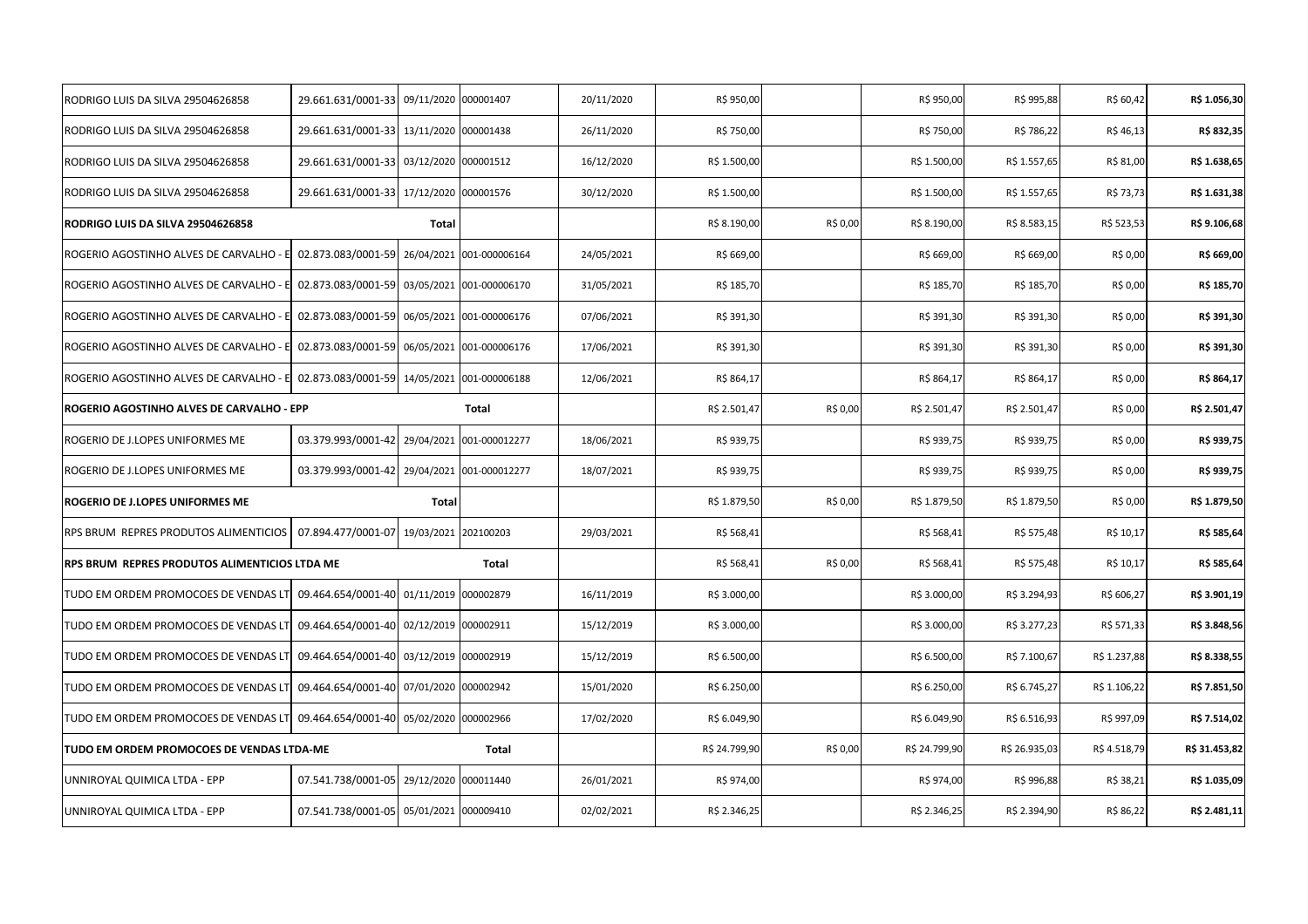| RODRIGO LUIS DA SILVA 29504626858             | 29.661.631/0001-33                          | 09/11/2020           | 000001407                | 20/11/2020 | R\$ 950,00    |          | R\$ 950,00    | R\$ 995,88    | R\$ 60,42    | R\$ 1.056,30  |
|-----------------------------------------------|---------------------------------------------|----------------------|--------------------------|------------|---------------|----------|---------------|---------------|--------------|---------------|
| RODRIGO LUIS DA SILVA 29504626858             | 29.661.631/0001-33 13/11/2020               |                      | 000001438                | 26/11/2020 | R\$ 750,00    |          | R\$ 750,00    | R\$ 786,22    | R\$ 46,13    | R\$ 832,35    |
| RODRIGO LUIS DA SILVA 29504626858             | 29.661.631/0001-33 03/12/2020 000001512     |                      |                          | 16/12/2020 | R\$ 1.500,00  |          | R\$ 1.500,00  | R\$ 1.557,65  | R\$ 81,00    | R\$ 1.638,65  |
| RODRIGO LUIS DA SILVA 29504626858             | 29.661.631/0001-33 17/12/2020 000001576     |                      |                          | 30/12/2020 | R\$ 1.500,00  |          | R\$ 1.500,00  | R\$ 1.557,65  | R\$ 73,73    | R\$ 1.631,38  |
| RODRIGO LUIS DA SILVA 29504626858             |                                             | Total                |                          |            | R\$ 8.190,00  | R\$ 0,00 | R\$ 8.190,00  | R\$ 8.583,15  | R\$ 523,53   | R\$ 9.106,68  |
| ROGERIO AGOSTINHO ALVES DE CARVALHO - E       | 02.873.083/0001-59 26/04/2021 001-000006164 |                      |                          | 24/05/2021 | R\$ 669,00    |          | R\$ 669,00    | R\$ 669,00    | R\$ 0,00     | R\$ 669,00    |
| ROGERIO AGOSTINHO ALVES DE CARVALHO - E       | 02.873.083/0001-59                          |                      | 03/05/2021 001-000006170 | 31/05/2021 | R\$ 185,70    |          | R\$ 185,70    | R\$ 185,70    | R\$ 0,00     | R\$ 185,70    |
| ROGERIO AGOSTINHO ALVES DE CARVALHO - E       | 02.873.083/0001-59 06/05/2021 001-000006176 |                      |                          | 07/06/2021 | R\$ 391,30    |          | R\$ 391,30    | R\$ 391,30    | R\$ 0,00     | R\$ 391,30    |
| ROGERIO AGOSTINHO ALVES DE CARVALHO - E       | 02.873.083/0001-59 06/05/2021 001-000006176 |                      |                          | 17/06/2021 | R\$ 391,30    |          | R\$ 391,30    | R\$ 391,30    | R\$ 0,00     | R\$ 391,30    |
| ROGERIO AGOSTINHO ALVES DE CARVALHO - E       | 02.873.083/0001-59 14/05/2021 001-000006188 |                      |                          | 12/06/2021 | R\$ 864,17    |          | R\$ 864,17    | R\$ 864,17    | R\$ 0,00     | R\$ 864,17    |
| ROGERIO AGOSTINHO ALVES DE CARVALHO - EPP     |                                             |                      | Total                    |            | R\$ 2.501,47  | R\$ 0,00 | R\$ 2.501,47  | R\$ 2.501,47  | R\$ 0,00     | R\$ 2.501,47  |
| ROGERIO DE J.LOPES UNIFORMES ME               | 03.379.993/0001-42 29/04/2021 001-000012277 |                      |                          | 18/06/2021 | R\$ 939,75    |          | R\$ 939,75    | R\$ 939,75    | R\$ 0,00     | R\$ 939,75    |
| ROGERIO DE J.LOPES UNIFORMES ME               | 03.379.993/0001-42 29/04/2021 001-000012277 |                      |                          | 18/07/2021 | R\$ 939,75    |          | R\$ 939,75    | R\$ 939,75    | R\$ 0,00     | R\$ 939,75    |
| ROGERIO DE J.LOPES UNIFORMES ME               |                                             | Total                |                          |            | R\$ 1.879,50  | R\$ 0,00 | R\$ 1.879,50  | R\$ 1.879,50  | R\$ 0,00     | R\$ 1.879,50  |
| RPS BRUM REPRES PRODUTOS ALIMENTICIOS         | 07.894.477/0001-07 19/03/2021               |                      | 202100203                | 29/03/2021 | R\$ 568,41    |          | R\$ 568,41    | R\$ 575,48    | R\$ 10,17    | R\$ 585,64    |
| RPS BRUM REPRES PRODUTOS ALIMENTICIOS LTDA ME |                                             |                      | Total                    |            | R\$ 568,41    | R\$ 0,00 | R\$ 568,41    | R\$ 575,48    | R\$ 10,17    | R\$ 585,64    |
| TUDO EM ORDEM PROMOCOES DE VENDAS LT          | 09.464.654/0001-40                          | 01/11/2019           | 000002879                | 16/11/2019 | R\$ 3.000,00  |          | R\$ 3.000,00  | R\$ 3.294,93  | R\$ 606,27   | R\$ 3.901,19  |
| TUDO EM ORDEM PROMOCOES DE VENDAS LT          | 09.464.654/0001-40 02/12/2019 000002911     |                      |                          | 15/12/2019 | R\$ 3.000,00  |          | R\$ 3.000,00  | R\$ 3.277,23  | R\$ 571,33   | R\$ 3.848,56  |
| TUDO EM ORDEM PROMOCOES DE VENDAS LT          | 09.464.654/0001-40                          | 03/12/2019 000002919 |                          | 15/12/2019 | R\$ 6.500,00  |          | R\$ 6.500,00  | R\$ 7.100,67  | R\$ 1.237,88 | R\$ 8.338,55  |
| TUDO EM ORDEM PROMOCOES DE VENDAS LT          | 09.464.654/0001-40 07/01/2020               |                      | 000002942                | 15/01/2020 | R\$ 6.250,00  |          | R\$ 6.250,00  | R\$ 6.745,27  | R\$ 1.106,22 | R\$ 7.851,50  |
| TUDO EM ORDEM PROMOCOES DE VENDAS LT          | 09.464.654/0001-40 05/02/2020               |                      | 000002966                | 17/02/2020 | R\$ 6.049,90  |          | R\$ 6.049,90  | R\$ 6.516,93  | R\$ 997,09   | R\$ 7.514,02  |
| TUDO EM ORDEM PROMOCOES DE VENDAS LTDA-ME     |                                             |                      | Total                    |            | R\$ 24.799,90 | R\$ 0,00 | R\$ 24.799,90 | R\$ 26.935,03 | R\$4.518,79  | R\$ 31.453,82 |
| UNNIROYAL QUIMICA LTDA - EPP                  | 07.541.738/0001-05 29/12/2020               |                      | 000011440                | 26/01/2021 | R\$ 974,00    |          | R\$ 974,00    | R\$ 996,88    | R\$ 38,21    | R\$ 1.035,09  |
| UNNIROYAL QUIMICA LTDA - EPP                  | 07.541.738/0001-05 05/01/2021 000009410     |                      |                          | 02/02/2021 | R\$ 2.346,25  |          | R\$ 2.346,25  | R\$ 2.394,90  | R\$ 86,22    | R\$ 2.481,11  |
|                                               |                                             |                      |                          |            |               |          |               |               |              |               |